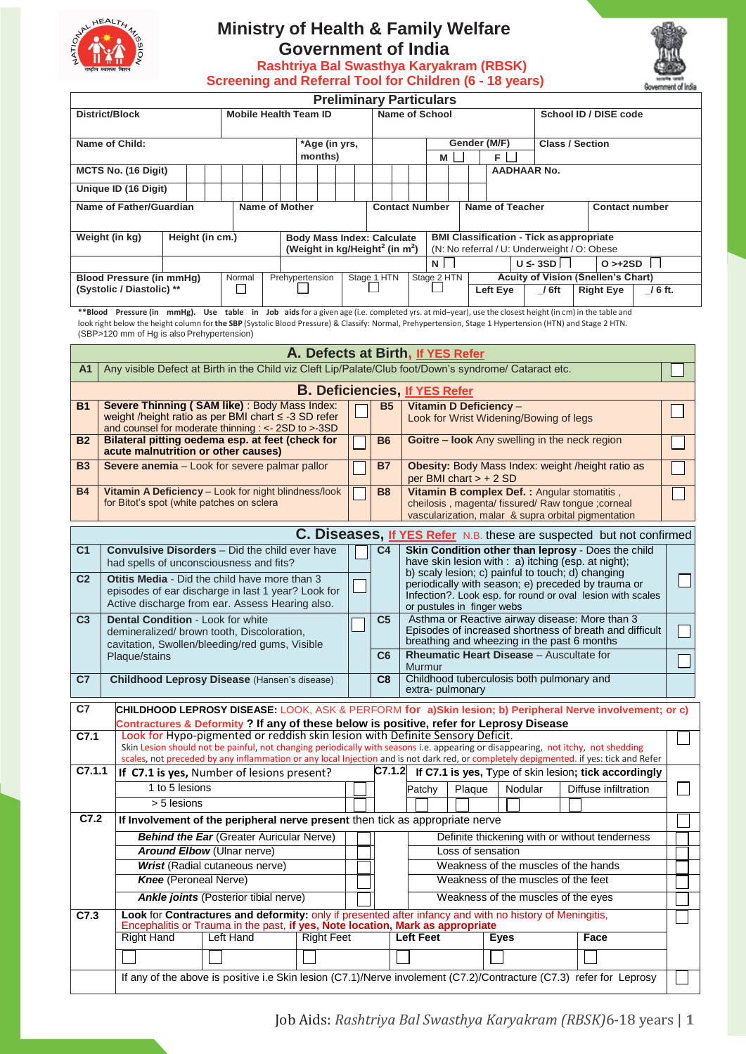

## **Ministry of Health & Family Welfare Government of India**

**Rashtriya Bal Swasthya Karyakram (RBSK)** 



| Screening and Referral Tool for Children (6 - 18 years)<br>Government of India                                                                              |                                                                                                                                                                                                                                                                                                                   |                |  |           |               |                                                 |  |                          |                |                                                                                                                                                          |                                                                                                         |                                                                                          |                                                                                                        |  |        |          |                        |                    |                                           |                                               |                                                                                                                            |         |  |
|-------------------------------------------------------------------------------------------------------------------------------------------------------------|-------------------------------------------------------------------------------------------------------------------------------------------------------------------------------------------------------------------------------------------------------------------------------------------------------------------|----------------|--|-----------|---------------|-------------------------------------------------|--|--------------------------|----------------|----------------------------------------------------------------------------------------------------------------------------------------------------------|---------------------------------------------------------------------------------------------------------|------------------------------------------------------------------------------------------|--------------------------------------------------------------------------------------------------------|--|--------|----------|------------------------|--------------------|-------------------------------------------|-----------------------------------------------|----------------------------------------------------------------------------------------------------------------------------|---------|--|
| <b>Preliminary Particulars</b>                                                                                                                              |                                                                                                                                                                                                                                                                                                                   |                |  |           |               |                                                 |  |                          |                |                                                                                                                                                          |                                                                                                         |                                                                                          |                                                                                                        |  |        |          |                        |                    |                                           |                                               |                                                                                                                            |         |  |
| <b>Mobile Health Team ID</b><br><b>District/Block</b>                                                                                                       |                                                                                                                                                                                                                                                                                                                   |                |  |           |               |                                                 |  |                          |                |                                                                                                                                                          | Name of School                                                                                          |                                                                                          |                                                                                                        |  |        |          |                        |                    | School ID / DISE code                     |                                               |                                                                                                                            |         |  |
|                                                                                                                                                             | Name of Child:                                                                                                                                                                                                                                                                                                    |                |  |           |               |                                                 |  | *Age (in yrs,<br>months) |                | <b>Class / Section</b><br>Gender (M/F)<br>F.<br>Μ                                                                                                        |                                                                                                         |                                                                                          |                                                                                                        |  |        |          |                        |                    |                                           |                                               |                                                                                                                            |         |  |
|                                                                                                                                                             | MCTS No. (16 Digit)                                                                                                                                                                                                                                                                                               |                |  |           |               |                                                 |  |                          |                |                                                                                                                                                          |                                                                                                         |                                                                                          |                                                                                                        |  |        |          |                        | <b>AADHAAR No.</b> |                                           |                                               |                                                                                                                            |         |  |
| Unique ID (16 Digit)                                                                                                                                        |                                                                                                                                                                                                                                                                                                                   |                |  |           |               |                                                 |  |                          |                |                                                                                                                                                          |                                                                                                         |                                                                                          |                                                                                                        |  |        |          |                        |                    |                                           |                                               |                                                                                                                            |         |  |
| <b>Name of Father/Guardian</b><br><b>Name of Mother</b>                                                                                                     |                                                                                                                                                                                                                                                                                                                   |                |  |           |               |                                                 |  |                          |                |                                                                                                                                                          |                                                                                                         | <b>Contact Number</b>                                                                    |                                                                                                        |  |        |          | <b>Name of Teacher</b> |                    |                                           |                                               | <b>Contact number</b>                                                                                                      |         |  |
| Weight (in kg)<br>Height (in cm.)<br><b>Body Mass Index: Calculate</b>                                                                                      |                                                                                                                                                                                                                                                                                                                   |                |  |           |               |                                                 |  |                          |                | <b>BMI Classification - Tick as appropriate</b><br>(Weight in kg/Height <sup>2</sup> (in m <sup>2</sup> )<br>(N: No referral / U: Underweight / O: Obese |                                                                                                         |                                                                                          |                                                                                                        |  |        |          |                        |                    |                                           |                                               |                                                                                                                            |         |  |
|                                                                                                                                                             |                                                                                                                                                                                                                                                                                                                   |                |  |           |               |                                                 |  |                          |                |                                                                                                                                                          |                                                                                                         | N<br>$U \leq 3SD$<br>$O > +2SD$                                                          |                                                                                                        |  |        |          |                        |                    |                                           |                                               |                                                                                                                            |         |  |
| Prehypertension<br><b>Blood Pressure (in mmHg)</b><br>Normal                                                                                                |                                                                                                                                                                                                                                                                                                                   |                |  |           |               |                                                 |  |                          | Stage 1 HTN    |                                                                                                                                                          | Stage 2 HTN                                                                                             |                                                                                          |                                                                                                        |  |        |          |                        |                    | <b>Acuity of Vision (Snellen's Chart)</b> |                                               |                                                                                                                            |         |  |
|                                                                                                                                                             | (Systolic / Diastolic) **                                                                                                                                                                                                                                                                                         |                |  |           | $\mathcal{A}$ |                                                 |  |                          |                |                                                                                                                                                          |                                                                                                         |                                                                                          |                                                                                                        |  |        | Left Eye |                        |                    | $/6$ ft                                   |                                               | <b>Right Eye</b>                                                                                                           | / 6 ft. |  |
|                                                                                                                                                             | **Blood Pressure (in mmHg). Use table in Job aids for a given age (i.e. completed yrs. at mid-year), use the closest height (in cm) in the table and<br>look right below the height column for the SBP (Systolic Blood Pressure) & Classify: Normal, Prehypertension, Stage 1 Hypertension (HTN) and Stage 2 HTN. |                |  |           |               |                                                 |  |                          |                |                                                                                                                                                          |                                                                                                         |                                                                                          |                                                                                                        |  |        |          |                        |                    |                                           |                                               |                                                                                                                            |         |  |
|                                                                                                                                                             | (SBP>120 mm of Hg is also Prehypertension)                                                                                                                                                                                                                                                                        |                |  |           |               |                                                 |  |                          |                |                                                                                                                                                          |                                                                                                         |                                                                                          |                                                                                                        |  |        |          |                        |                    |                                           |                                               |                                                                                                                            |         |  |
|                                                                                                                                                             |                                                                                                                                                                                                                                                                                                                   |                |  |           |               |                                                 |  |                          |                |                                                                                                                                                          |                                                                                                         | A. Defects at Birth, If YES Refer                                                        |                                                                                                        |  |        |          |                        |                    |                                           |                                               |                                                                                                                            |         |  |
| A1                                                                                                                                                          | Any visible Defect at Birth in the Child viz Cleft Lip/Palate/Club foot/Down's syndrome/ Cataract etc.                                                                                                                                                                                                            |                |  |           |               |                                                 |  |                          |                |                                                                                                                                                          |                                                                                                         |                                                                                          |                                                                                                        |  |        |          |                        |                    |                                           |                                               |                                                                                                                            |         |  |
|                                                                                                                                                             |                                                                                                                                                                                                                                                                                                                   |                |  |           |               |                                                 |  |                          |                |                                                                                                                                                          |                                                                                                         | <b>B. Deficiencies, If YES Refer</b>                                                     |                                                                                                        |  |        |          |                        |                    |                                           |                                               |                                                                                                                            |         |  |
| <b>B1</b>                                                                                                                                                   | Severe Thinning (SAM like): Body Mass Index:<br>weight /height ratio as per BMI chart ≤ -3 SD refer                                                                                                                                                                                                               |                |  |           |               |                                                 |  |                          |                |                                                                                                                                                          | <b>B5</b>                                                                                               |                                                                                          |                                                                                                        |  |        |          | Vitamin D Deficiency - |                    | Look for Wrist Widening/Bowing of legs    |                                               |                                                                                                                            |         |  |
| and counsel for moderate thinning : <- 2SD to >-3SD<br>Bilateral pitting oedema esp. at feet (check for<br><b>B2</b><br>acute malnutrition or other causes) |                                                                                                                                                                                                                                                                                                                   |                |  |           |               |                                                 |  |                          |                | <b>B6</b>                                                                                                                                                |                                                                                                         |                                                                                          |                                                                                                        |  |        |          |                        |                    |                                           | Goitre - look Any swelling in the neck region |                                                                                                                            |         |  |
| Severe anemia - Look for severe palmar pallor<br><b>B3</b>                                                                                                  |                                                                                                                                                                                                                                                                                                                   |                |  |           |               |                                                 |  |                          |                |                                                                                                                                                          | <b>B7</b>                                                                                               |                                                                                          | Obesity: Body Mass Index: weight /height ratio as<br>per BMI chart $> + 2$ SD                          |  |        |          |                        |                    |                                           |                                               |                                                                                                                            |         |  |
| <b>B4</b>                                                                                                                                                   | Vitamin A Deficiency - Look for night blindness/look                                                                                                                                                                                                                                                              |                |  |           |               |                                                 |  |                          |                |                                                                                                                                                          | <b>B8</b>                                                                                               |                                                                                          |                                                                                                        |  |        |          |                        |                    |                                           |                                               | Vitamin B complex Def. : Angular stomatitis,                                                                               |         |  |
|                                                                                                                                                             | for Bitot's spot (white patches on sclera                                                                                                                                                                                                                                                                         |                |  |           |               |                                                 |  |                          |                |                                                                                                                                                          |                                                                                                         |                                                                                          |                                                                                                        |  |        |          |                        |                    |                                           |                                               | cheilosis, magenta/ fissured/ Raw tongue ; corneal<br>vascularization, malar & supra orbital pigmentation                  |         |  |
|                                                                                                                                                             |                                                                                                                                                                                                                                                                                                                   |                |  |           |               |                                                 |  |                          |                |                                                                                                                                                          |                                                                                                         |                                                                                          |                                                                                                        |  |        |          |                        |                    |                                           |                                               |                                                                                                                            |         |  |
| C <sub>1</sub>                                                                                                                                              |                                                                                                                                                                                                                                                                                                                   |                |  |           |               |                                                 |  |                          |                |                                                                                                                                                          | C4                                                                                                      |                                                                                          |                                                                                                        |  |        |          |                        |                    |                                           |                                               | C. Diseases, If YES Refer N.B. these are suspected but not confirmed<br>Skin Condition other than leprosy - Does the child |         |  |
| <b>Convulsive Disorders</b> - Did the child ever have<br>had spells of unconsciousness and fits?                                                            |                                                                                                                                                                                                                                                                                                                   |                |  |           |               |                                                 |  |                          |                |                                                                                                                                                          |                                                                                                         |                                                                                          |                                                                                                        |  |        |          |                        |                    |                                           |                                               | have skin lesion with : a) itching (esp. at night);                                                                        |         |  |
| Otitis Media - Did the child have more than 3<br>C <sub>2</sub>                                                                                             |                                                                                                                                                                                                                                                                                                                   |                |  |           |               |                                                 |  |                          |                |                                                                                                                                                          | b) scaly lesion; c) painful to touch; d) changing<br>periodically with season; e) preceded by trauma or |                                                                                          |                                                                                                        |  |        |          |                        |                    |                                           |                                               |                                                                                                                            |         |  |
|                                                                                                                                                             | episodes of ear discharge in last 1 year? Look for<br>Active discharge from ear. Assess Hearing also.                                                                                                                                                                                                             |                |  |           |               |                                                 |  |                          |                |                                                                                                                                                          |                                                                                                         | Infection?. Look esp. for round or oval lesion with scales<br>or pustules in finger webs |                                                                                                        |  |        |          |                        |                    |                                           |                                               |                                                                                                                            |         |  |
| C <sub>3</sub>                                                                                                                                              | <b>Dental Condition - Look for white</b><br>demineralized/ brown tooth, Discoloration,                                                                                                                                                                                                                            |                |  |           |               |                                                 |  |                          |                |                                                                                                                                                          | C <sub>5</sub>                                                                                          | Asthma or Reactive airway disease: More than 3                                           |                                                                                                        |  |        |          |                        |                    |                                           |                                               |                                                                                                                            |         |  |
|                                                                                                                                                             |                                                                                                                                                                                                                                                                                                                   |                |  |           |               |                                                 |  |                          |                |                                                                                                                                                          |                                                                                                         |                                                                                          | Episodes of increased shortness of breath and difficult<br>breathing and wheezing in the past 6 months |  |        |          |                        |                    |                                           |                                               |                                                                                                                            |         |  |
| cavitation, Swollen/bleeding/red gums, Visible<br>Plaque/stains                                                                                             |                                                                                                                                                                                                                                                                                                                   |                |  |           |               |                                                 |  |                          | C <sub>6</sub> |                                                                                                                                                          | Rheumatic Heart Disease - Auscultate for<br>Murmur                                                      |                                                                                          |                                                                                                        |  |        |          |                        |                    |                                           |                                               |                                                                                                                            |         |  |
| C7                                                                                                                                                          | Childhood Leprosy Disease (Hansen's disease)                                                                                                                                                                                                                                                                      |                |  |           |               |                                                 |  |                          |                |                                                                                                                                                          | C8                                                                                                      |                                                                                          |                                                                                                        |  |        |          |                        |                    | Childhood tuberculosis both pulmonary and |                                               |                                                                                                                            |         |  |
|                                                                                                                                                             |                                                                                                                                                                                                                                                                                                                   |                |  |           |               |                                                 |  |                          |                | extra-pulmonary<br>CHILDHOOD LEPROSY DISEASE: LOOK, ASK & PERFORM for a)Skin lesion; b) Peripheral Nerve involvement; or c)                              |                                                                                                         |                                                                                          |                                                                                                        |  |        |          |                        |                    |                                           |                                               |                                                                                                                            |         |  |
| C7                                                                                                                                                          | Contractures & Deformity ? If any of these below is positive, refer for Leprosy Disease                                                                                                                                                                                                                           |                |  |           |               |                                                 |  |                          |                |                                                                                                                                                          |                                                                                                         |                                                                                          |                                                                                                        |  |        |          |                        |                    |                                           |                                               |                                                                                                                            |         |  |
| C7.1                                                                                                                                                        | Look for Hypo-pigmented or reddish skin lesion with Definite Sensory Deficit.                                                                                                                                                                                                                                     |                |  |           |               |                                                 |  |                          |                |                                                                                                                                                          |                                                                                                         |                                                                                          |                                                                                                        |  |        |          |                        |                    |                                           |                                               |                                                                                                                            |         |  |
|                                                                                                                                                             | Skin Lesion should not be painful, not changing periodically with seasons i.e. appearing or disappearing, not itchy, not shedding<br>scales, not preceded by any inflammation or any local Injection and is not dark red, or completely depigmented. if yes: tick and Refer                                       |                |  |           |               |                                                 |  |                          |                |                                                                                                                                                          |                                                                                                         |                                                                                          |                                                                                                        |  |        |          |                        |                    |                                           |                                               |                                                                                                                            |         |  |
| C7.1.1                                                                                                                                                      | If C7.1 is yes, Number of lesions present?                                                                                                                                                                                                                                                                        |                |  |           |               |                                                 |  |                          |                |                                                                                                                                                          |                                                                                                         |                                                                                          |                                                                                                        |  |        |          |                        |                    |                                           |                                               | $ C7.1.2 $ If C7.1 is yes, Type of skin lesion; tick accordingly                                                           |         |  |
|                                                                                                                                                             |                                                                                                                                                                                                                                                                                                                   | 1 to 5 lesions |  |           |               |                                                 |  |                          |                |                                                                                                                                                          |                                                                                                         | Patchy                                                                                   |                                                                                                        |  | Plaque |          |                        | Nodular            |                                           |                                               | Diffuse infiltration                                                                                                       |         |  |
|                                                                                                                                                             |                                                                                                                                                                                                                                                                                                                   | > 5 lesions    |  |           |               |                                                 |  |                          |                |                                                                                                                                                          |                                                                                                         |                                                                                          |                                                                                                        |  |        |          |                        |                    |                                           |                                               |                                                                                                                            |         |  |
| C7.2                                                                                                                                                        | If Involvement of the peripheral nerve present then tick as appropriate nerve                                                                                                                                                                                                                                     |                |  |           |               |                                                 |  |                          |                |                                                                                                                                                          |                                                                                                         |                                                                                          |                                                                                                        |  |        |          |                        |                    |                                           |                                               |                                                                                                                            |         |  |
|                                                                                                                                                             |                                                                                                                                                                                                                                                                                                                   |                |  |           |               | <b>Behind the Ear (Greater Auricular Nerve)</b> |  |                          |                |                                                                                                                                                          |                                                                                                         |                                                                                          |                                                                                                        |  |        |          |                        |                    |                                           |                                               | Definite thickening with or without tenderness                                                                             |         |  |
|                                                                                                                                                             | <b>Around Elbow (Ulnar nerve)</b>                                                                                                                                                                                                                                                                                 |                |  |           |               |                                                 |  |                          |                |                                                                                                                                                          | Loss of sensation                                                                                       |                                                                                          |                                                                                                        |  |        |          |                        |                    |                                           |                                               |                                                                                                                            |         |  |
|                                                                                                                                                             | <b>Wrist (Radial cutaneous nerve)</b><br><b>Knee</b> (Peroneal Nerve)                                                                                                                                                                                                                                             |                |  |           |               |                                                 |  |                          |                |                                                                                                                                                          |                                                                                                         | Weakness of the muscles of the hands<br>Weakness of the muscles of the feet              |                                                                                                        |  |        |          |                        |                    |                                           |                                               |                                                                                                                            |         |  |
|                                                                                                                                                             |                                                                                                                                                                                                                                                                                                                   |                |  |           |               | <b>Ankle joints</b> (Posterior tibial nerve)    |  |                          |                |                                                                                                                                                          |                                                                                                         | Weakness of the muscles of the eyes                                                      |                                                                                                        |  |        |          |                        |                    |                                           |                                               |                                                                                                                            |         |  |
| C7.3                                                                                                                                                        | Look for Contractures and deformity: only if presented after infancy and with no history of Meningitis,                                                                                                                                                                                                           |                |  |           |               |                                                 |  |                          |                |                                                                                                                                                          |                                                                                                         |                                                                                          |                                                                                                        |  |        |          |                        |                    |                                           |                                               |                                                                                                                            |         |  |
|                                                                                                                                                             | Encephalitis or Trauma in the past, if yes, Note location, Mark as appropriate                                                                                                                                                                                                                                    |                |  |           |               |                                                 |  |                          |                |                                                                                                                                                          |                                                                                                         |                                                                                          |                                                                                                        |  |        |          |                        |                    |                                           |                                               |                                                                                                                            |         |  |
|                                                                                                                                                             | <b>Right Hand</b>                                                                                                                                                                                                                                                                                                 |                |  | Left Hand |               |                                                 |  | <b>Right Feet</b>        |                |                                                                                                                                                          |                                                                                                         | <b>Left Feet</b>                                                                         |                                                                                                        |  |        |          | <b>Eyes</b>            |                    |                                           |                                               | Face                                                                                                                       |         |  |
|                                                                                                                                                             |                                                                                                                                                                                                                                                                                                                   |                |  |           |               |                                                 |  |                          |                |                                                                                                                                                          |                                                                                                         |                                                                                          |                                                                                                        |  |        |          |                        |                    |                                           |                                               |                                                                                                                            |         |  |
|                                                                                                                                                             | If any of the above is positive i.e Skin lesion (C7.1)/Nerve involement (C7.2)/Contracture (C7.3) refer for Leprosy                                                                                                                                                                                               |                |  |           |               |                                                 |  |                          |                |                                                                                                                                                          |                                                                                                         |                                                                                          |                                                                                                        |  |        |          |                        |                    |                                           |                                               |                                                                                                                            |         |  |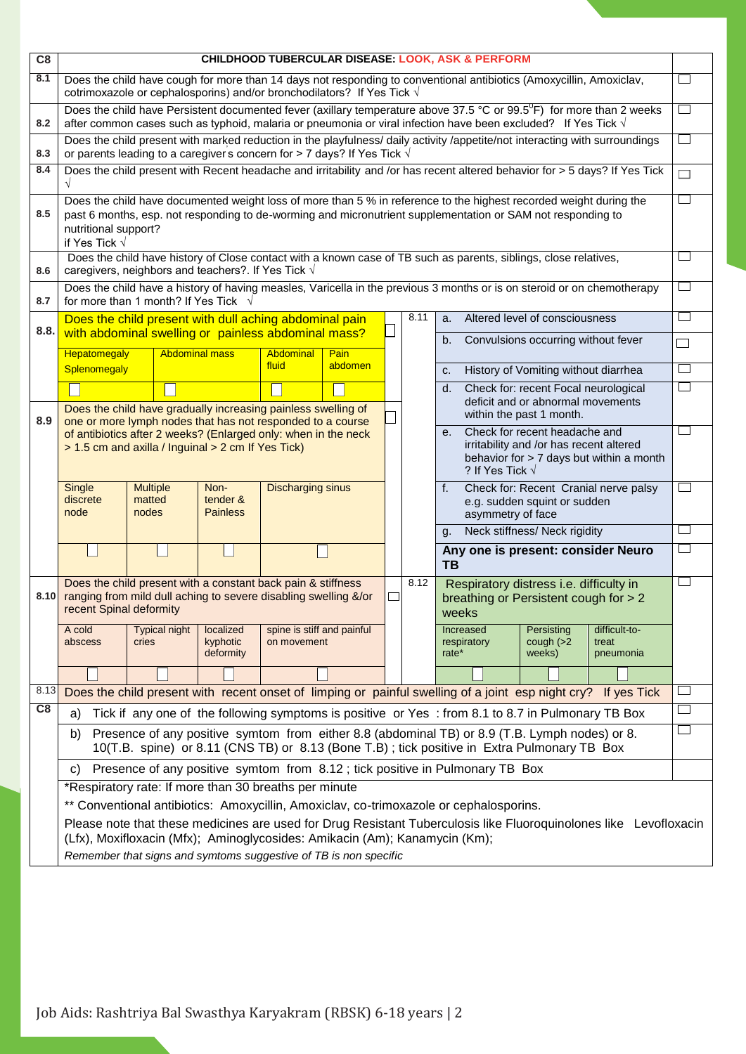| C8         | <b>CHILDHOOD TUBERCULAR DISEASE: LOOK, ASK &amp; PERFORM</b>                                                                                                                                                                                                                        |                                                                                                                                                                                                        |                                     |                                           |         |  |      |                                                                                                                                                             |                                                                                                                             |                                      |                                                                                                                                   |   |  |  |
|------------|-------------------------------------------------------------------------------------------------------------------------------------------------------------------------------------------------------------------------------------------------------------------------------------|--------------------------------------------------------------------------------------------------------------------------------------------------------------------------------------------------------|-------------------------------------|-------------------------------------------|---------|--|------|-------------------------------------------------------------------------------------------------------------------------------------------------------------|-----------------------------------------------------------------------------------------------------------------------------|--------------------------------------|-----------------------------------------------------------------------------------------------------------------------------------|---|--|--|
| 8.1        |                                                                                                                                                                                                                                                                                     | Does the child have cough for more than 14 days not responding to conventional antibiotics (Amoxycillin, Amoxiclav,<br>cotrimoxazole or cephalosporins) and/or bronchodilators? If Yes Tick $\sqrt{ }$ |                                     |                                           |         |  |      |                                                                                                                                                             |                                                                                                                             |                                      |                                                                                                                                   |   |  |  |
| 8.2        |                                                                                                                                                                                                                                                                                     | after common cases such as typhoid, malaria or pneumonia or viral infection have been excluded? If Yes Tick $\sqrt{ }$                                                                                 |                                     |                                           |         |  |      |                                                                                                                                                             |                                                                                                                             |                                      | Does the child have Persistent documented fever (axillary temperature above 37.5 °C or 99.5 <sup>0</sup> F) for more than 2 weeks |   |  |  |
| 8.3        | Does the child present with marked reduction in the playfulness/ daily activity /appetite/not interacting with surroundings<br>or parents leading to a caregiver's concern for > 7 days? If Yes Tick $\sqrt{ }$                                                                     |                                                                                                                                                                                                        |                                     |                                           |         |  |      |                                                                                                                                                             |                                                                                                                             |                                      |                                                                                                                                   |   |  |  |
| 8.4        | Does the child present with Recent headache and irritability and /or has recent altered behavior for > 5 days? If Yes Tick<br>$\sqrt{ }$                                                                                                                                            |                                                                                                                                                                                                        |                                     |                                           |         |  |      |                                                                                                                                                             |                                                                                                                             |                                      |                                                                                                                                   |   |  |  |
| 8.5        | Does the child have documented weight loss of more than 5 % in reference to the highest recorded weight during the<br>past 6 months, esp. not responding to de-worming and micronutrient supplementation or SAM not responding to<br>nutritional support?<br>if Yes Tick $\sqrt{ }$ |                                                                                                                                                                                                        |                                     |                                           |         |  |      |                                                                                                                                                             |                                                                                                                             |                                      |                                                                                                                                   |   |  |  |
| 8.6        | Does the child have history of Close contact with a known case of TB such as parents, siblings, close relatives,<br>caregivers, neighbors and teachers?. If Yes Tick $\sqrt{ }$                                                                                                     |                                                                                                                                                                                                        |                                     |                                           |         |  |      |                                                                                                                                                             |                                                                                                                             |                                      |                                                                                                                                   |   |  |  |
| 8.7        | Does the child have a history of having measles, Varicella in the previous 3 months or is on steroid or on chemotherapy<br>for more than 1 month? If Yes Tick √                                                                                                                     |                                                                                                                                                                                                        |                                     |                                           |         |  |      |                                                                                                                                                             |                                                                                                                             |                                      |                                                                                                                                   |   |  |  |
| 8.8.       |                                                                                                                                                                                                                                                                                     | Does the child present with dull aching abdominal pain<br>with abdominal swelling or painless abdominal mass?                                                                                          |                                     |                                           |         |  | 8.11 | a.                                                                                                                                                          |                                                                                                                             | Altered level of consciousness       |                                                                                                                                   |   |  |  |
|            | <b>Hepatomegaly</b>                                                                                                                                                                                                                                                                 |                                                                                                                                                                                                        | <b>Abdominal mass</b>               | Abdominal                                 | Pain    |  |      | b.                                                                                                                                                          |                                                                                                                             | Convulsions occurring without fever  |                                                                                                                                   | ┐ |  |  |
|            | Splenomegaly                                                                                                                                                                                                                                                                        |                                                                                                                                                                                                        |                                     | fluid                                     | abdomen |  |      | c.                                                                                                                                                          |                                                                                                                             | History of Vomiting without diarrhea |                                                                                                                                   |   |  |  |
|            |                                                                                                                                                                                                                                                                                     | Does the child have gradually increasing painless swelling of                                                                                                                                          |                                     |                                           |         |  |      | d.<br>within the past 1 month.                                                                                                                              | Check for: recent Focal neurological<br>deficit and or abnormal movements                                                   |                                      |                                                                                                                                   |   |  |  |
| 8.9        |                                                                                                                                                                                                                                                                                     | one or more lymph nodes that has not responded to a course<br>of antibiotics after 2 weeks? (Enlarged only: when in the neck<br>> 1.5 cm and axilla / Inguinal > 2 cm If Yes Tick)                     |                                     |                                           |         |  |      | Check for recent headache and<br>$e_{1}$<br>irritability and /or has recent altered<br>behavior for > 7 days but within a month<br>? If Yes Tick $\sqrt{ }$ |                                                                                                                             |                                      |                                                                                                                                   |   |  |  |
|            | Single<br>discrete<br>node                                                                                                                                                                                                                                                          | <b>Multiple</b><br>matted<br>nodes                                                                                                                                                                     | Non-<br>tender &<br><b>Painless</b> | <b>Discharging sinus</b>                  |         |  |      | f.                                                                                                                                                          | Check for: Recent Cranial nerve palsy<br>e.g. sudden squint or sudden<br>asymmetry of face<br>Neck stiffness/ Neck rigidity |                                      |                                                                                                                                   |   |  |  |
|            |                                                                                                                                                                                                                                                                                     |                                                                                                                                                                                                        |                                     |                                           |         |  |      | q.                                                                                                                                                          |                                                                                                                             |                                      | Any one is present: consider Neuro                                                                                                |   |  |  |
|            |                                                                                                                                                                                                                                                                                     |                                                                                                                                                                                                        |                                     |                                           |         |  |      | TB                                                                                                                                                          |                                                                                                                             |                                      |                                                                                                                                   |   |  |  |
|            | 8.10 ranging from mild dull aching to severe disabling swelling &/or<br>recent Spinal deformity                                                                                                                                                                                     | Does the child present with a constant back pain & stiffness                                                                                                                                           |                                     |                                           |         |  | 8.12 | weeks                                                                                                                                                       | Respiratory distress i.e. difficulty in<br>breathing or Persistent cough for > 2                                            |                                      |                                                                                                                                   |   |  |  |
|            | A cold<br>abscess                                                                                                                                                                                                                                                                   | <b>Typical night</b><br>cries                                                                                                                                                                          | localized<br>kyphotic<br>deformity  | spine is stiff and painful<br>on movement |         |  |      | rate*                                                                                                                                                       | Increased<br>respiratory                                                                                                    | Persisting<br>cough $(>2)$<br>weeks) | difficult-to-<br>treat<br>pneumonia                                                                                               |   |  |  |
|            |                                                                                                                                                                                                                                                                                     |                                                                                                                                                                                                        |                                     |                                           |         |  |      |                                                                                                                                                             |                                                                                                                             |                                      |                                                                                                                                   |   |  |  |
| 8.13<br>C8 |                                                                                                                                                                                                                                                                                     |                                                                                                                                                                                                        |                                     |                                           |         |  |      |                                                                                                                                                             |                                                                                                                             |                                      | Does the child present with recent onset of limping or painful swelling of a joint esp night cry? If yes Tick                     |   |  |  |
|            | a)                                                                                                                                                                                                                                                                                  | Tick if any one of the following symptoms is positive or Yes : from 8.1 to 8.7 in Pulmonary TB Box                                                                                                     |                                     |                                           |         |  |      |                                                                                                                                                             |                                                                                                                             |                                      |                                                                                                                                   |   |  |  |
|            | b)                                                                                                                                                                                                                                                                                  | Presence of any positive symtom from either 8.8 (abdominal TB) or 8.9 (T.B. Lymph nodes) or 8.<br>10(T.B. spine) or 8.11 (CNS TB) or 8.13 (Bone T.B); tick positive in Extra Pulmonary TB Box          |                                     |                                           |         |  |      |                                                                                                                                                             |                                                                                                                             |                                      |                                                                                                                                   |   |  |  |
|            | C)                                                                                                                                                                                                                                                                                  | Presence of any positive symtom from 8.12; tick positive in Pulmonary TB Box                                                                                                                           |                                     |                                           |         |  |      |                                                                                                                                                             |                                                                                                                             |                                      |                                                                                                                                   |   |  |  |
|            |                                                                                                                                                                                                                                                                                     | *Respiratory rate: If more than 30 breaths per minute                                                                                                                                                  |                                     |                                           |         |  |      |                                                                                                                                                             |                                                                                                                             |                                      |                                                                                                                                   |   |  |  |
|            |                                                                                                                                                                                                                                                                                     | ** Conventional antibiotics: Amoxycillin, Amoxiclav, co-trimoxazole or cephalosporins.                                                                                                                 |                                     |                                           |         |  |      |                                                                                                                                                             |                                                                                                                             |                                      |                                                                                                                                   |   |  |  |
|            |                                                                                                                                                                                                                                                                                     | (Lfx), Moxifloxacin (Mfx); Aminoglycosides: Amikacin (Am); Kanamycin (Km);<br>Remember that signs and symtoms suggestive of TB is non specific                                                         |                                     |                                           |         |  |      |                                                                                                                                                             |                                                                                                                             |                                      | Please note that these medicines are used for Drug Resistant Tuberculosis like Fluoroquinolones like Levofloxacin                 |   |  |  |

Job Aids: Rashtriya Bal Swasthya Karyakram (RBSK) 6-18 years | 2